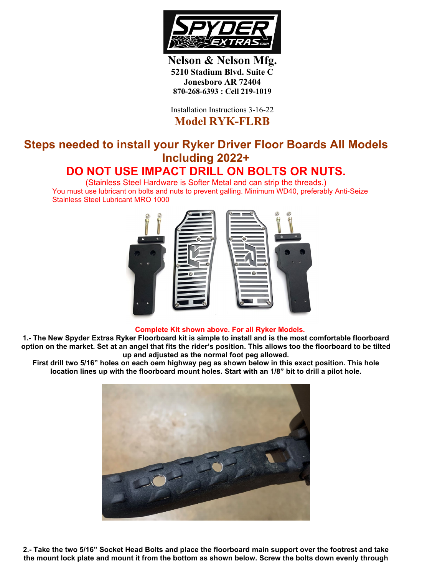

**Nelson & Nelson Mfg. 5210 Stadium Blvd. Suite C Jonesboro AR 72404 870-268-6393 : Cell 219-1019**

Installation Instructions 3-16-22 **Model RYK-FLRB**

## **Steps needed to install your Ryker Driver Floor Boards All Models Including 2022+ DO NOT USE IMPACT DRILL ON BOLTS OR NUTS.**

(Stainless Steel Hardware is Softer Metal and can strip the threads.) You must use lubricant on bolts and nuts to prevent galling. Minimum WD40, preferably Anti-Seize Stainless Steel Lubricant MRO 1000



## **Complete Kit shown above. For all Ryker Models.**

**1.- The New Spyder Extras Ryker Floorboard kit is simple to install and is the most comfortable floorboard option on the market. Set at an angel that fits the rider's position. This allows too the floorboard to be tilted up and adjusted as the normal foot peg allowed.**

**First drill two 5/16" holes on each oem highway peg as shown below in this exact position. This hole location lines up with the floorboard mount holes. Start with an 1/8" bit to drill a pilot hole.**



**2.- Take the two 5/16" Socket Head Bolts and place the floorboard main support over the footrest and take the mount lock plate and mount it from the bottom as shown below. Screw the bolts down evenly through**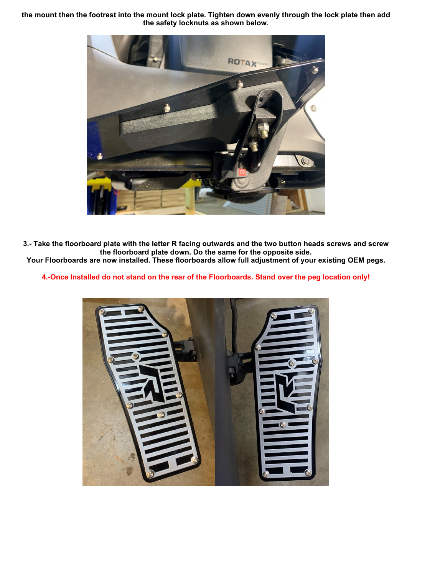**the mount then the footrest into the mount lock plate. Tighten down evenly through the lock plate then add the safety locknuts as shown below.**



**3.- Take the floorboard plate with the letter R facing outwards and the two button heads screws and screw the floorboard plate down. Do the same for the opposite side.** 

**Your Floorboards are now installed. These floorboards allow full adjustment of your existing OEM pegs.**

**4.-Once Installed do not stand on the rear of the Floorboards. Stand over the peg location only!**